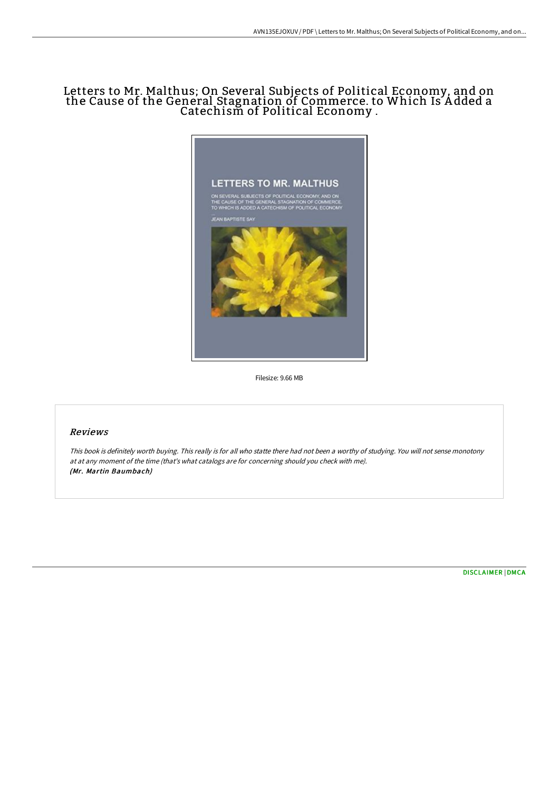## Letters to Mr. Malthus; On Several Subjects of Political Economy, and on the Cause of the General Stagnation of Commerce. to Which Is A dded a Catechism of Political Economy .



Filesize: 9.66 MB

## Reviews

This book is definitely worth buying. This really is for all who statte there had not been <sup>a</sup> worthy of studying. You will not sense monotony at at any moment of the time (that's what catalogs are for concerning should you check with me). (Mr. Martin Baumbach)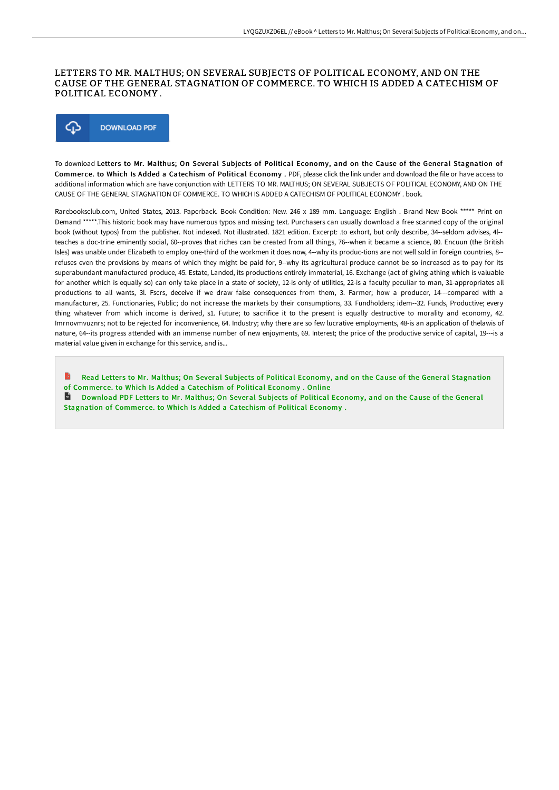## LETTERS TO MR. MALTHUS; ON SEVERAL SUBJECTS OF POLITICAL ECONOMY, AND ON THE CAUSE OF THE GENERAL STAGNATION OF COMMERCE. TO WHICH IS ADDED A CATECHISM OF POLITICAL ECONOMY .



To download Letters to Mr. Malthus; On Several Subjects of Political Economy, and on the Cause of the General Stagnation of Commerce. to Which Is Added a Catechism of Political Economy . PDF, please click the link under and download the file or have access to additional information which are have conjunction with LETTERS TO MR. MALTHUS; ON SEVERAL SUBJECTS OF POLITICAL ECONOMY, AND ON THE CAUSE OF THE GENERAL STAGNATION OF COMMERCE. TO WHICH IS ADDED A CATECHISM OF POLITICAL ECONOMY . book.

Rarebooksclub.com, United States, 2013. Paperback. Book Condition: New. 246 x 189 mm. Language: English . Brand New Book \*\*\*\*\* Print on Demand \*\*\*\*\*.This historic book may have numerous typos and missing text. Purchasers can usually download a free scanned copy of the original book (without typos) from the publisher. Not indexed. Not illustrated. 1821 edition. Excerpt: .to exhort, but only describe, 34--seldom advises, 4l- teaches a doc-trine eminently social, 60--proves that riches can be created from all things, 76--when it became a science, 80. Encuun (the British Isles) was unable under Elizabeth to employ one-third of the workmen it does now, 4--why its produc-tions are not well sold in foreign countries, 8- refuses even the provisions by means of which they might be paid for, 9--why its agricultural produce cannot be so increased as to pay for its superabundant manufactured produce, 45. Estate, Landed, its productions entirely immaterial, 16. Exchange (act of giving athing which is valuable for another which is equally so) can only take place in a state of society, 12-is only of utilities, 22-is a faculty peculiar to man, 31-appropriates all productions to all wants, 3l. Fscrs, deceive if we draw false consequences from them, 3. Farmer; how a producer, 14---compared with a manufacturer, 25. Functionaries, Public; do not increase the markets by their consumptions, 33. Fundholders; idem--32. Funds, Productive; every thing whatever from which income is derived, s1. Future; to sacrifice it to the present is equally destructive to morality and economy, 42. Imrnovmvuznrs; not to be rejected for inconvenience, 64. Industry; why there are so few lucrative employments, 48-is an application of thelawis of nature, 64--its progress attended with an immense number of new enjoyments, 69. Interest; the price of the productive service of capital, 19---is a material value given in exchange for this service, and is...

Read Letters to Mr. Malthus; On Several Subjects of Political Economy, and on the Cause of the General [Stagnation](http://digilib.live/letters-to-mr-malthus-on-several-subjects-of-pol.html) of Commer ce. to Which Is Added a Catechism of Political Economy . Online

 $\overrightarrow{ac}$ Download PDF Letters to Mr. Malthus; On Several Subjects of Political Economy, and on the Cause of the General [Stagnation](http://digilib.live/letters-to-mr-malthus-on-several-subjects-of-pol.html) of Commerce. to Which Is Added a Catechism of Political Economy.